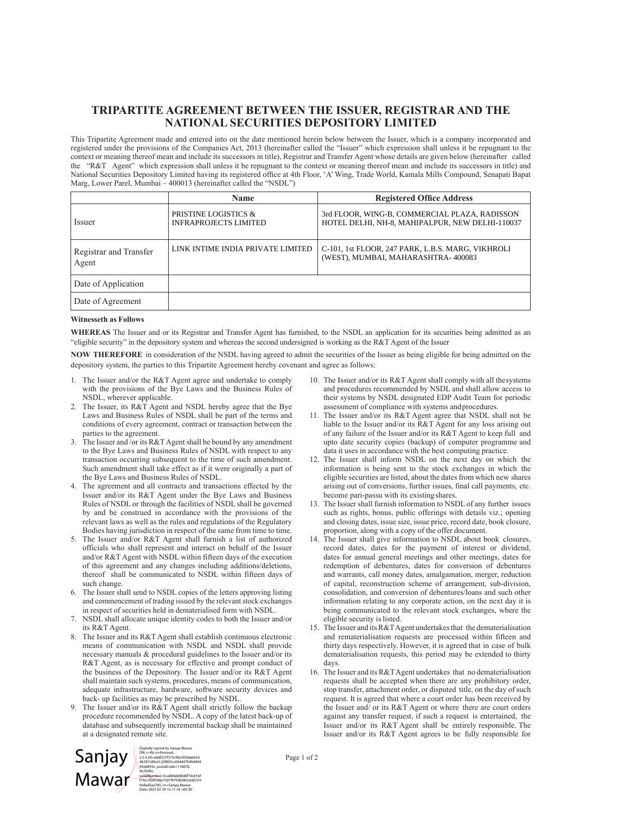## **TRIPARTITE AGREEMENT BETWEEN THE ISSUER, REGISTRAR AND THE NATIONAL SECURITIES DEPOSITORY LIMITED**

This Tripartite Agreement made and entered into on the date mentioned herein below between the Issuer, which is a company incorporated and registered under the provisions of the Companies Act, 2013 (hereinafter called the "Issuer" which expression shall unless it be repugnant to the context or meaning thereof mean and include its successors in title), Registrar and Transfer Agent whose details are given below (hereinafter called the "R&T Agent" which expression shall unless it be repugnant to the context or meaning thereof mean and include its successors in title) and National Securities Depository Limited having its registered office at 4th Floor, 'A' Wing, Trade World, Kamala Mills Compound, Senapati Bapat Marg, Lower Parel, Mumbai – 400013 (hereinafter called the "NSDL")

|                                 | <b>Name</b>                                          | <b>Registered Office Address</b>                                                                 |
|---------------------------------|------------------------------------------------------|--------------------------------------------------------------------------------------------------|
| Issuer                          | PRISTINE LOGISTICS &<br><b>INFRAPROJECTS LIMITED</b> | 3rd FLOOR, WING-B, COMMERCIAL PLAZA, RADISSON<br>HOTEL DELHI, NH-8, MAHIPALPUR, NEW DELHI-110037 |
| Registrar and Transfer<br>Agent | LINK INTIME INDIA PRIVATE LIMITED                    | C-101, 1st FLOOR, 247 PARK, L.B.S. MARG, VIKHROLI<br>(WEST), MUMBAI, MAHARASHTRA-400083          |
| Date of Application             |                                                      |                                                                                                  |
| Date of Agreement               |                                                      |                                                                                                  |

## **Witnesseth as Follows**

**WHEREAS** The Issuer and or its Registrar and Transfer Agent has furnished, to the NSDL an application for its securities being admitted as an "eligible security" in the depository system and whereas the second undersigned is working as the R&T Agent of the Issuer

**NOW THEREFORE** in consideration of the NSDL having agreed to admit the securities of the Issuer as being eligible for being admitted on the depository system, the parties to this Tripartite Agreement hereby covenant and agree as follows:

- 1. The Issuer and/or the R&T Agent agree and undertake to comply with the provisions of the Bye Laws and the Business Rules of NSDL, wherever applicable.
- 2. The Issuer, its R&T Agent and NSDL hereby agree that the Bye Laws and Business Rules of NSDL shall be part of the terms and conditions of every agreement, contract or transaction between the parties to the agreement.
- 3. The Issuer and /or its R&T Agent shall be bound by any amendment to the Bye Laws and Business Rules of NSDL with respect to any transaction occurring subsequent to the time of such amendment. Such amendment shall take effect as if it were originally a part of the Bye Laws and Business Rules of NSDL.
- 4. The agreement and all contracts and transactions effected by the Issuer and/or its R&T Agent under the Bye Laws and Business Rules of NSDL or through the facilities of NSDL shall be governed by and be construed in accordance with the provisions of the relevant laws as well as the rules and regulations of the Regulatory Bodies having jurisdiction in respect of the same from time to time.
- 5. The Issuer and/or R&T Agent shall furnish a list of authorized officials who shall represent and interact on behalf of the Issuer and/or R&T Agent with NSDL within fifteen days of the execution of this agreement and any changes including additions/deletions, thereof shall be communicated to NSDL within fifteen days of such change.
- 6. The Issuer shall send to NSDL copies of the letters approving listing and commencement of trading issued by the relevant stock exchanges in respect of securities held in dematerialised form with NSDL.
- 7. NSDL shall allocate unique identity codes to both the Issuer and/or its R&T Agent.
- 8. The Issuer and its R&T Agent shall establish continuous electronic means of communication with NSDL and NSDL shall provide necessary manuals & procedural guidelines to the Issuer and/or its R&T Agent, as is necessary for effective and prompt conduct of the business of the Depository. The Issuer and/or its R&T Agent shall maintain such systems, procedures, means of communication, adequate infrastructure, hardware, software security devices and back- up facilities as may be prescribed by NSDL.
- 9. The Issuer and/or its R&T Agent shall strictly follow the backup procedure recommended by NSDL. A copy of the latest back-up of database and subsequently incremental backup shall be maintained at a designated remote site.



DN: c=IN, o=Personal, 2.5.4.20=a0df227f373c9b2959a6665d 4b587c00c6122f005cc044447b9b8404 456d893c, postalCode=110070, st=Delhi, serialNumber=5ca884eb00d0f74c81bf f19cc5f28169a7301f97590385c6d67e9 9e8ad3aa785, cn=Sanjay Mawar Date: 2021.07.29 15:11:18 +05'30'

- 10. The Issuer and/or its R&T Agent shall comply with all the systems and procedures recommended by NSDL and shall allow access to their systems by NSDL designated EDP Audit Team for periodic assessment of compliance with systems and procedures.
- 11. The Issuer and/or its R&T Agent agree that NSDL shall not be liable to the Issuer and/or its R&T Agent for any loss arising out of any failure of the Issuer and/or its R&T Agent to keep full and upto date security copies (backup) of computer programme and data it uses in accordance with the best computing practice.
- 12. The Issuer shall inform NSDL on the next day on which the information is being sent to the stock exchanges in which the eligible securities are listed, about the dates from which new shares arising out of conversions, further issues, final call payments, etc. become pari-passu with its existing shares.
- 13. The Issuer shall furnish information to NSDL of any further issues such as rights, bonus, public offerings with details viz.; opening and closing dates, issue size, issue price, record date, book closure, proportion, along with a copy of the offer document.
- 14. The Issuer shall give information to NSDL about book closures, record dates, dates for the payment of interest or dividend, dates for annual general meetings and other meetings, dates for redemption of debentures, dates for conversion of debentures and warrants, call money dates, amalgamation, merger, reduction of capital, reconstruction scheme of arrangement, sub-division, consolidation, and conversion of debentures/loans and such other information relating to any corporate action, on the next day it is being communicated to the relevant stock exchanges, where the eligible security is listed.
- 15. The Issuer and its R&T Agent undertakes that the dematerialisation and rematerialisation requests are processed within fifteen and thirty days respectively. However, it is agreed that in case of bulk dematerialisation requests, this period may be extended to thirty days.
- 16. The Issuer and its R&T Agent undertakes that no dematerialisation requests shall be accepted when there are any prohibitory order, stop transfer, attachment order, or disputed title, on the day of such request. It is agreed that where a court order has been received by the Issuer and/ or its R&T Agent or where there are court orders against any transfer request, if such a request is entertained, the Issuer and/or its R&T Agent shall be entirely responsible. The Issuer and/or its R&T Agent agrees to be fully responsible for

Page 1 of 2